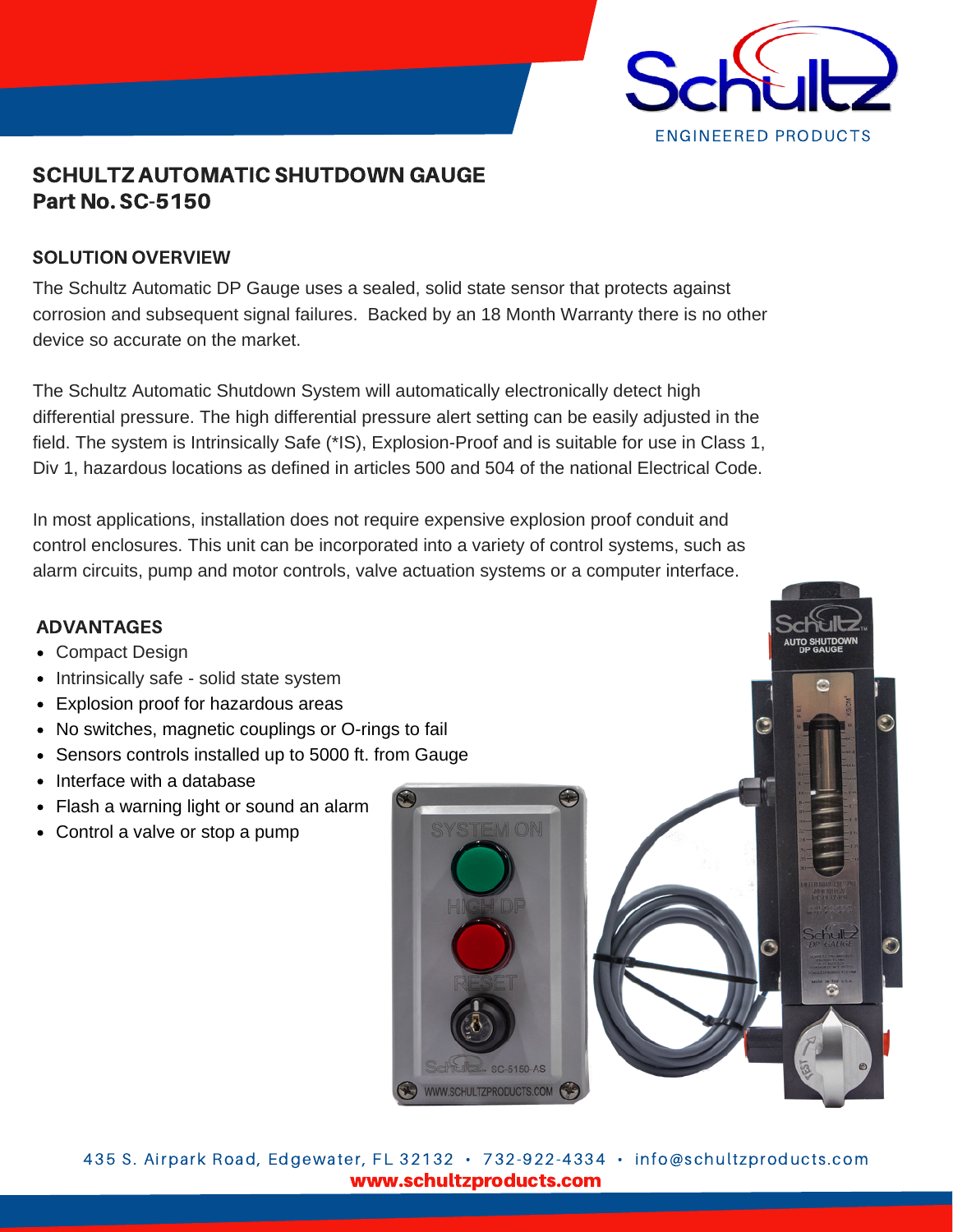

# SCHULTZ AUTOMATIC SHUTDOWN GAUGE Part No. SC-5150

# SOLUTION OVERVIEW

The Schultz Automatic DP Gauge uses a sealed, solid state sensor that protects against corrosion and subsequent signal failures. Backed by an 18 Month Warranty there is no other device so accurate on the market.

The Schultz Automatic Shutdown System will automatically electronically detect high differential pressure. The high differential pressure alert setting can be easily adjusted in the field. The system is Intrinsically Safe (\*IS), Explosion-Proof and is suitable for use in Class 1, Div 1, hazardous locations as defined in articles 500 and 504 of the national Electrical Code.

In most applications, installation does not require expensive explosion proof conduit and control enclosures. This unit can be incorporated into a variety of control systems, such as alarm circuits, pump and motor controls, valve actuation systems or a computer interface.

### ADVANTAGES

- Compact Design
- Intrinsically safe solid state system
- Explosion proof for hazardous areas
- No switches, magnetic couplings or O-rings to fail
- Sensors controls installed up to 5000 ft. from Gauge
- Interface with a database
- Flash a warning light or sound an alarm
- Control a valve or stop a pump





www.schultzproducts.com 435 S. Airpark Road, Edgewater, FL 32132 • 732-922-4334 • info@schultzproducts.com